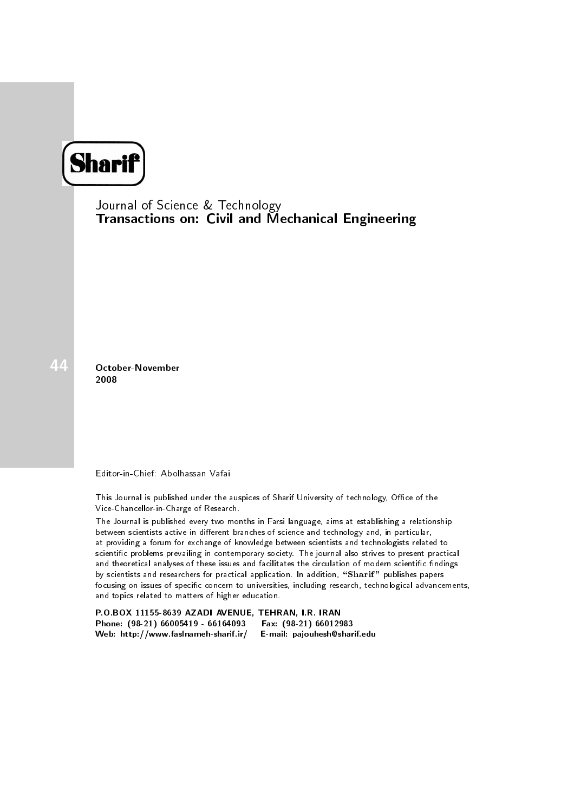## **Sharif**

Journal of Science & Technology Transactions on: Civil and Mechanical Engineering

October-November 2008

Editor-in-Chief: Abolhassan Vafai

This Journal is published under the auspices of Sharif University of technology, Office of the Vice-Chancellor-in-Charge of Research.

The Journal is published every two months in Farsi language, aims at establishing a relationship between scientists active in different branches of science and technology and, in particular, at providing a forum for exchange of knowledge between scientists and technologists related to scientic problems prevailing in contemporary society. The journal also strives to present practical and theoretical analyses of these issues and facilitates the circulation of modern scientific findings by scientists and researchers for practical application. In addition, "Sharif" publishes papers focusing on issues of specific concern to universities, including research, technological advancements, and topics related to matters of higher education.

P.O.BOX 11155-8639 AZADI AVENUE, TEHRAN, I.R. IRAN Phone: (98-21) 66005419 - 66164093 Web: http://www.faslnameh-sharif.ir/ E-mail: pajouhesh@sharif.edu